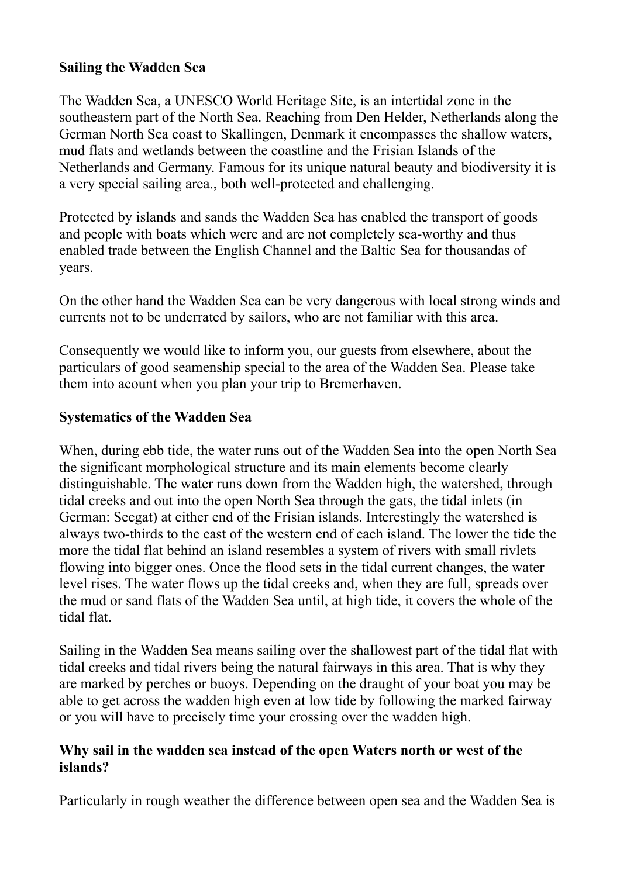## **Sailing the Wadden Sea**

The Wadden Sea, a UNESCO World Heritage Site, is an intertidal zone in the southeastern part of the North Sea. Reaching from Den Helder, Netherlands along the German North Sea coast to Skallingen, Denmark it encompasses the shallow waters, mud flats and wetlands between the coastline and the Frisian Islands of the Netherlands and Germany. Famous for its unique natural beauty and biodiversity it is a very special sailing area., both well-protected and challenging.

Protected by islands and sands the Wadden Sea has enabled the transport of goods and people with boats which were and are not completely sea-worthy and thus enabled trade between the English Channel and the Baltic Sea for thousandas of years.

On the other hand the Wadden Sea can be very dangerous with local strong winds and currents not to be underrated by sailors, who are not familiar with this area.

Consequently we would like to inform you, our guests from elsewhere, about the particulars of good seamenship special to the area of the Wadden Sea. Please take them into acount when you plan your trip to Bremerhaven.

## **Systematics of the Wadden Sea**

When, during ebb tide, the water runs out of the Wadden Sea into the open North Sea the significant morphological structure and its main elements become clearly distinguishable. The water runs down from the Wadden high, the watershed, through tidal creeks and out into the open North Sea through the gats, the tidal inlets (in German: Seegat) at either end of the Frisian islands. Interestingly the watershed is always two-thirds to the east of the western end of each island. The lower the tide the more the tidal flat behind an island resembles a system of rivers with small rivlets flowing into bigger ones. Once the flood sets in the tidal current changes, the water level rises. The water flows up the tidal creeks and, when they are full, spreads over the mud or sand flats of the Wadden Sea until, at high tide, it covers the whole of the tidal flat.

Sailing in the Wadden Sea means sailing over the shallowest part of the tidal flat with tidal creeks and tidal rivers being the natural fairways in this area. That is why they are marked by perches or buoys. Depending on the draught of your boat you may be able to get across the wadden high even at low tide by following the marked fairway or you will have to precisely time your crossing over the wadden high.

## **Why sail in the wadden sea instead of the open Waters north or west of the islands?**

Particularly in rough weather the difference between open sea and the Wadden Sea is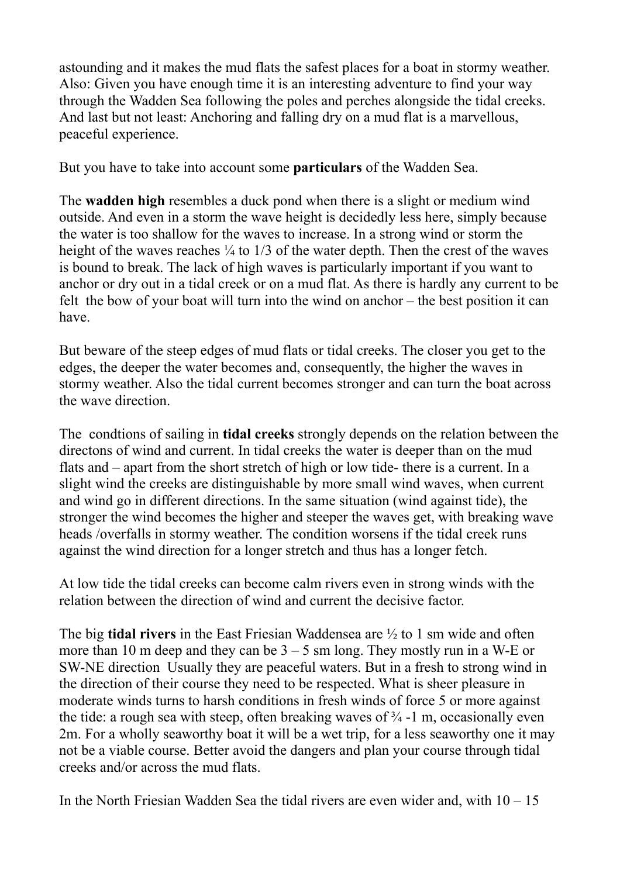astounding and it makes the mud flats the safest places for a boat in stormy weather. Also: Given you have enough time it is an interesting adventure to find your way through the Wadden Sea following the poles and perches alongside the tidal creeks. And last but not least: Anchoring and falling dry on a mud flat is a marvellous, peaceful experience.

But you have to take into account some **particulars** of the Wadden Sea.

The **wadden high** resembles a duck pond when there is a slight or medium wind outside. And even in a storm the wave height is decidedly less here, simply because the water is too shallow for the waves to increase. In a strong wind or storm the height of the waves reaches  $\frac{1}{4}$  to  $\frac{1}{3}$  of the water depth. Then the crest of the waves is bound to break. The lack of high waves is particularly important if you want to anchor or dry out in a tidal creek or on a mud flat. As there is hardly any current to be felt the bow of your boat will turn into the wind on anchor – the best position it can have.

But beware of the steep edges of mud flats or tidal creeks. The closer you get to the edges, the deeper the water becomes and, consequently, the higher the waves in stormy weather. Also the tidal current becomes stronger and can turn the boat across the wave direction.

The condtions of sailing in **tidal creeks** strongly depends on the relation between the directons of wind and current. In tidal creeks the water is deeper than on the mud flats and – apart from the short stretch of high or low tide- there is a current. In a slight wind the creeks are distinguishable by more small wind waves, when current and wind go in different directions. In the same situation (wind against tide), the stronger the wind becomes the higher and steeper the waves get, with breaking wave heads /overfalls in stormy weather. The condition worsens if the tidal creek runs against the wind direction for a longer stretch and thus has a longer fetch.

At low tide the tidal creeks can become calm rivers even in strong winds with the relation between the direction of wind and current the decisive factor.

The big **tidal rivers** in the East Friesian Waddensea are ½ to 1 sm wide and often more than 10 m deep and they can be  $3 - 5$  sm long. They mostly run in a W-E or SW-NE direction Usually they are peaceful waters. But in a fresh to strong wind in the direction of their course they need to be respected. What is sheer pleasure in moderate winds turns to harsh conditions in fresh winds of force 5 or more against the tide: a rough sea with steep, often breaking waves of  $\frac{3}{4}$  -1 m, occasionally even 2m. For a wholly seaworthy boat it will be a wet trip, for a less seaworthy one it may not be a viable course. Better avoid the dangers and plan your course through tidal creeks and/or across the mud flats.

In the North Friesian Wadden Sea the tidal rivers are even wider and, with  $10 - 15$